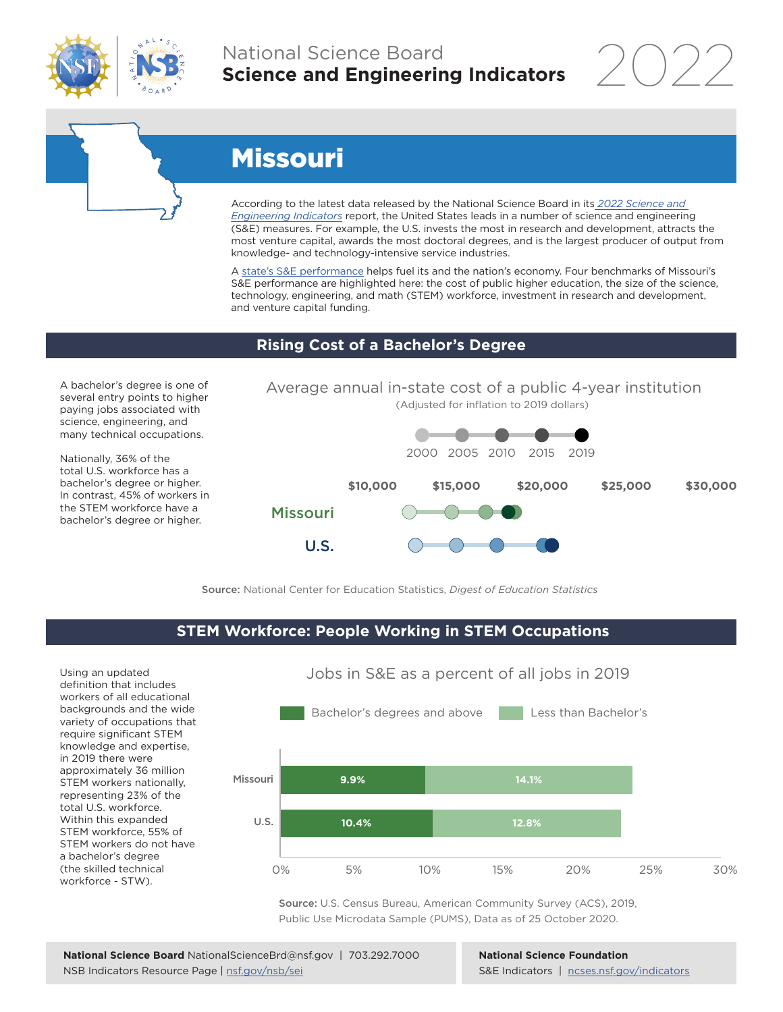

# National Science Board **Science and Engineering Indicators**

2022



# Missouri

According to the latest data released by the National Science Board in its *[2022 Science and](https://www.ncses.nsf.gov/indicators)  [Engineering Indicators](https://www.ncses.nsf.gov/indicators)* report, the United States leads in a number of science and engineering (S&E) measures. For example, the U.S. invests the most in research and development, attracts the most venture capital, awards the most doctoral degrees, and is the largest producer of output from knowledge- and technology-intensive service industries.

A state's S&E performance helps fuel its and the nation's economy. Four benchmarks of Missouri's S&E performance are highlighted here: the cost of public higher education, the size of the science, technology, engineering, and math (STEM) workforce, investment in research and development, and venture capital funding.

## **Rising Cost of a Bachelor's Degree**

A bachelor's degree is one of several entry points to higher paying jobs associated with science, engineering, and many technical occupations.

Nationally, 36% of the total U.S. workforce has a bachelor's degree or higher. In contrast, 45% of workers in the STEM workforce have a bachelor's degree or higher.



Source: National Center for Education Statistics, *Digest of Education Statistics*

#### **STEM Workforce: People Working in STEM Occupations**

U.S.

Using an updated definition that includes workers of all educational backgrounds and the wide variety of occupations that require significant STEM knowledge and expertise, in 2019 there were approximately 36 million STEM workers nationally, representing 23% of the total U.S. workforce. Within this expanded STEM workforce, 55% of STEM workers do not have a bachelor's degree (the skilled technical workforce - STW).



Jobs in S&E as a percent of all jobs in 2019

Source: U.S. Census Bureau, American Community Survey (ACS), 2019, Public Use Microdata Sample (PUMS), Data as of 25 October 2020.

**National Science Foundation** S&E Indicators | [ncses.nsf.gov/indicators](https://www.ncses.nsf.gov/indicators)